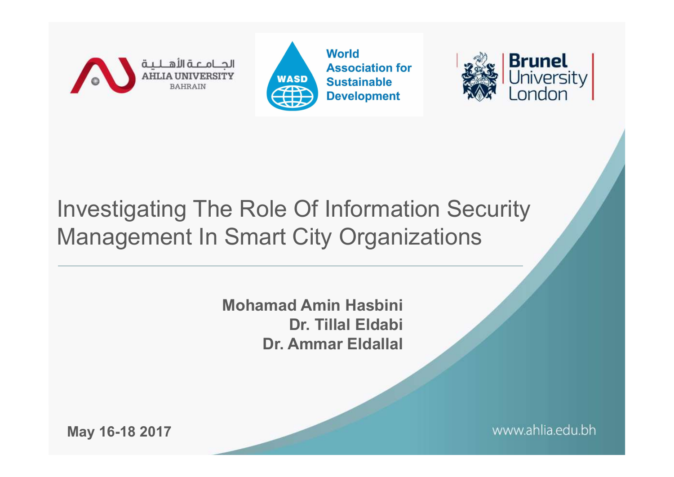



**World Association for Sustainable Development** 



## Investigating The Role Of Information Security Management In Smart City Organizations

Mohamad Amin Hasbini Dr. Tillal Eldabi Dr. Ammar Eldallal

May 16-18 2017

www.ahlia.edu.bh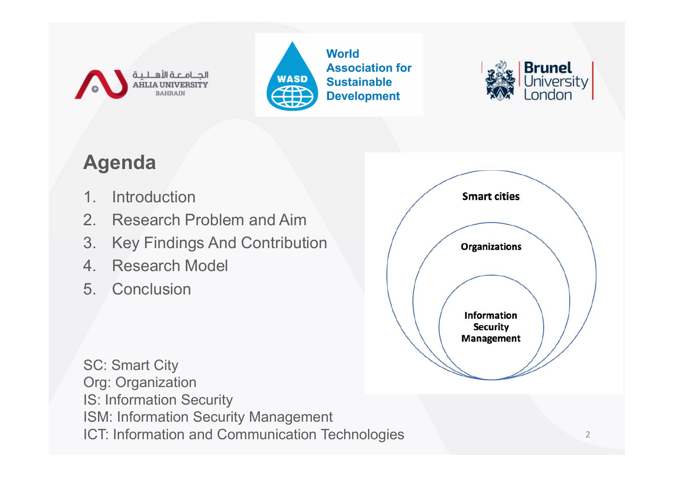



## Agenda

- 
- 
- MASP ASSOCIATE AND ASSOCIATE AND ASSOCIATE AND ARRAIGNMENT SAMERAIN<br>
And Develop<br>
2. Research Problem and Aim<br>
3. Key Findings And Contribution<br>
4. Research Model<br>
5. Conclusion Agenda<br>
1. Introduction<br>
2. Research Problem and Aim<br>
3. Key Findings And Contribution<br>
4. Research Model<br>
5. Conclusion
- 
- 



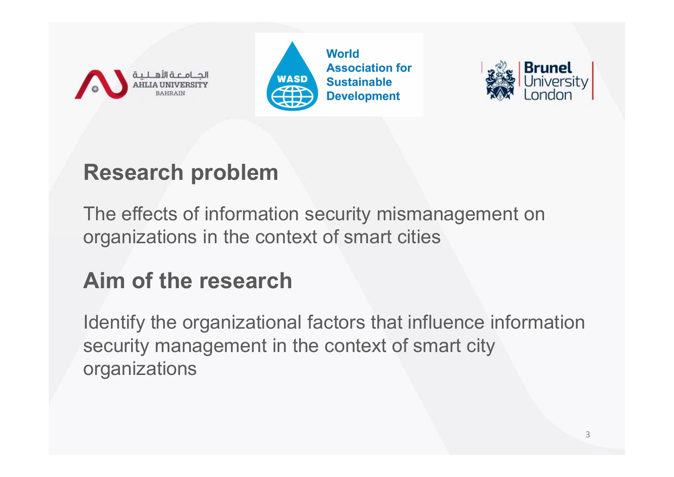لجــامــعـة الأهــلـيـة





## Research problem

The effects of information security mismanagement on organizations in the context of smart cities

## Aim of the research

Identify the organizational factors that influence information security management in the context of smart city organizations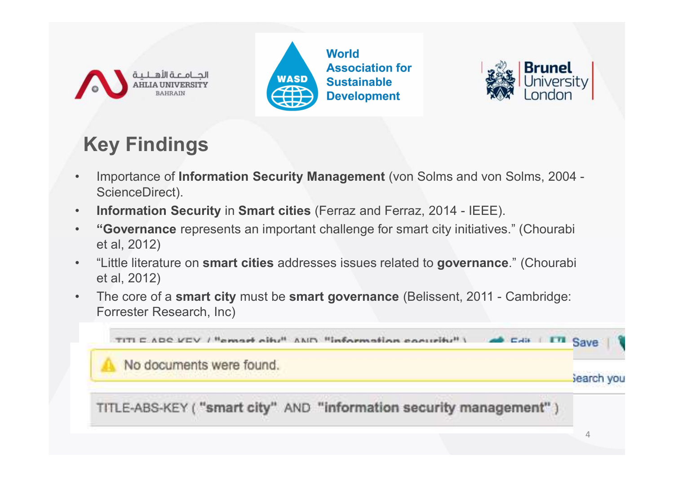





## Key Findings

- World<br>
Association for<br>
Association for<br>
Brunel<br> **Examples Brunel**<br> **Examples Brunel**<br> **Examples Brunel**<br> **Examples Brunel**<br> **Examples Brunel**<br> **Examples Brunel**<br> **Examples Brunel**<br> **Examples Brunel**<br> **Examples Brunel**<br> **E** Schemation Security<br>
ScienceDirect).<br>
• Importance of Information Security Management (von Solms and von Solms, 2004 -<br>
• Covernance of Information Security in Smart cities (Ferraz and Ferraz, 2014 - IEEE).<br>
• "Governance
- 
- et al, 2012)
- "Little literature on smart cities addresses issues related to governance." (Chourability Currently in Smart cities (Ferraz and Ferraz, 2014 IEEE).<br>• "Governance of Information Security Management (von Solms and von So et al, 2012)
- Forrester Research, Inc)

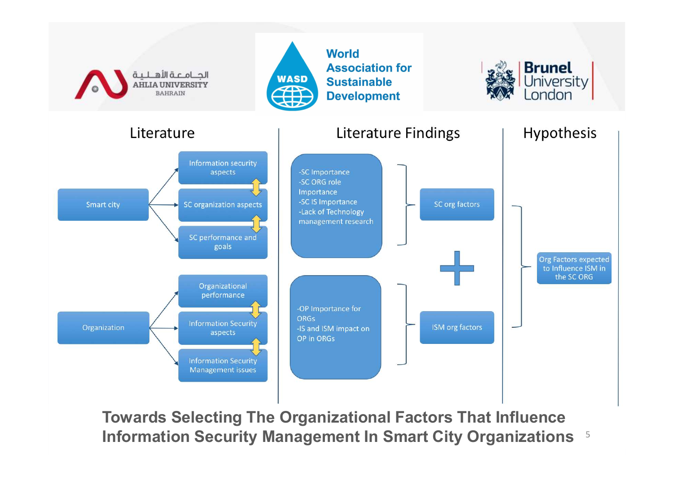

Towards Selecting The Organizational Factors That Influence Information Security Management In Smart City Organizations <sup>5</sup>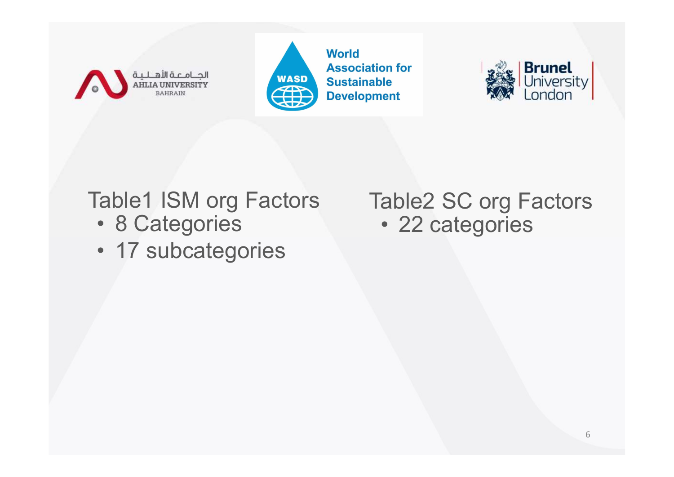



# World<br>
ASSOCIATE<br>
AFELA UNIVERSITY<br>
ABSOCIATE<br>
BALEA UNIVERSITY<br>
BALEA UNIVERSITY<br>
Developm<br>
Developm<br>
- 8 Categories<br>
- 17 subcategories World<br>
AHLAUNIVERSITY<br>
AHLAUNIVERSITY<br>
Cable 1 ISM org Factors Tab<br>
• 8 Categories • 17 subcategories

- 
- 

## Table1 ISM org Factors Table2 SC org Factors<br>• 8 Categories • 22 categories **Particular Example 1988**<br> **Example 1989**<br> **Example 2 SC org Factors**<br> **Particular 22 categories**<br> **Particular 22 categories**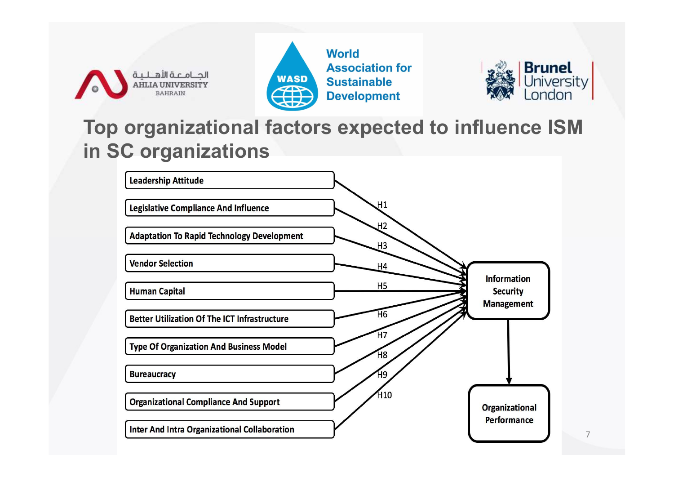





### Top organizational factors expected to influence ISM in SC organizations